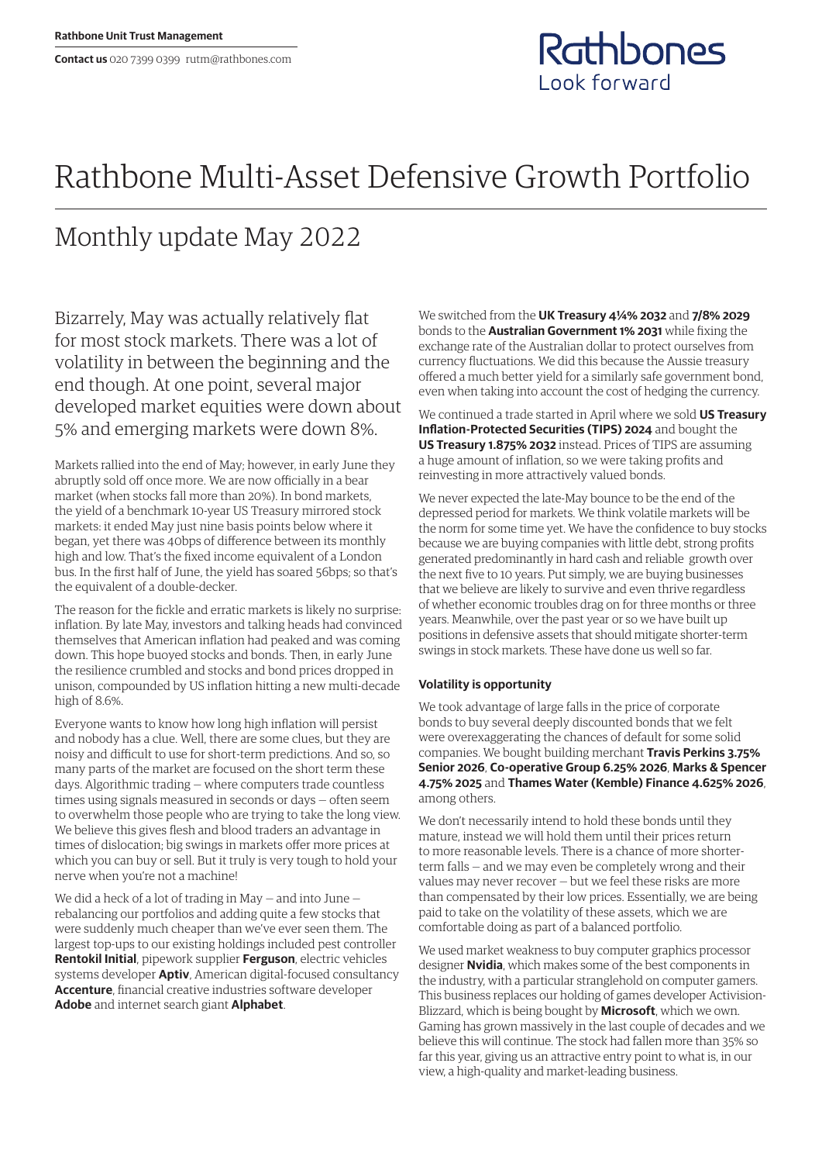## Rathbone Multi-Asset Defensive Growth Portfolio

## Monthly update May 2022

Bizarrely, May was actually relatively flat for most stock markets. There was a lot of volatility in between the beginning and the end though. At one point, several major developed market equities were down about 5% and emerging markets were down 8%.

Markets rallied into the end of May; however, in early June they abruptly sold off once more. We are now officially in a bear market (when stocks fall more than 20%). In bond markets, the yield of a benchmark 10-year US Treasury mirrored stock markets: it ended May just nine basis points below where it began, yet there was 40bps of difference between its monthly high and low. That's the fixed income equivalent of a London bus. In the first half of June, the yield has soared 56bps; so that's the equivalent of a double-decker.

The reason for the fickle and erratic markets is likely no surprise: inflation. By late May, investors and talking heads had convinced themselves that American inflation had peaked and was coming down. This hope buoyed stocks and bonds. Then, in early June the resilience crumbled and stocks and bond prices dropped in unison, compounded by US inflation hitting a new multi-decade high of 8.6%.

Everyone wants to know how long high inflation will persist and nobody has a clue. Well, there are some clues, but they are noisy and difficult to use for short-term predictions. And so, so many parts of the market are focused on the short term these days. Algorithmic trading — where computers trade countless times using signals measured in seconds or days — often seem to overwhelm those people who are trying to take the long view. We believe this gives flesh and blood traders an advantage in times of dislocation; big swings in markets offer more prices at which you can buy or sell. But it truly is very tough to hold your nerve when you're not a machine!

We did a heck of a lot of trading in May — and into June rebalancing our portfolios and adding quite a few stocks that were suddenly much cheaper than we've ever seen them. The largest top-ups to our existing holdings included pest controller **Rentokil Initial**, pipework supplier **Ferguson**, electric vehicles systems developer **Aptiv**, American digital-focused consultancy **Accenture**, financial creative industries software developer **Adobe** and internet search giant **Alphabet**.

We switched from the **UK Treasury 4¼% 2032** and **7/8% 2029**  bonds to the **Australian Government 1% 2031** while fixing the exchange rate of the Australian dollar to protect ourselves from currency fluctuations. We did this because the Aussie treasury offered a much better yield for a similarly safe government bond, even when taking into account the cost of hedging the currency.

Rathbones

Look forward

We continued a trade started in April where we sold **US Treasury Inflation-Protected Securities (TIPS) 2024** and bought the **US Treasury 1.875% 2032** instead. Prices of TIPS are assuming a huge amount of inflation, so we were taking profits and reinvesting in more attractively valued bonds.

We never expected the late-May bounce to be the end of the depressed period for markets. We think volatile markets will be the norm for some time yet. We have the confidence to buy stocks because we are buying companies with little debt, strong profits generated predominantly in hard cash and reliable growth over the next five to 10 years. Put simply, we are buying businesses that we believe are likely to survive and even thrive regardless of whether economic troubles drag on for three months or three years. Meanwhile, over the past year or so we have built up positions in defensive assets that should mitigate shorter-term swings in stock markets. These have done us well so far.

## **Volatility is opportunity**

We took advantage of large falls in the price of corporate bonds to buy several deeply discounted bonds that we felt were overexaggerating the chances of default for some solid companies. We bought building merchant **Travis Perkins 3.75% Senior 2026**, **Co-operative Group 6.25% 2026**, **Marks & Spencer 4.75% 2025** and **Thames Water (Kemble) Finance 4.625% 2026**, among others.

We don't necessarily intend to hold these bonds until they mature, instead we will hold them until their prices return to more reasonable levels. There is a chance of more shorterterm falls — and we may even be completely wrong and their values may never recover — but we feel these risks are more than compensated by their low prices. Essentially, we are being paid to take on the volatility of these assets, which we are comfortable doing as part of a balanced portfolio.

We used market weakness to buy computer graphics processor designer **Nvidia**, which makes some of the best components in the industry, with a particular stranglehold on computer gamers. This business replaces our holding of games developer Activision-Blizzard, which is being bought by **Microsoft**, which we own. Gaming has grown massively in the last couple of decades and we believe this will continue. The stock had fallen more than 35% so far this year, giving us an attractive entry point to what is, in our view, a high-quality and market-leading business.